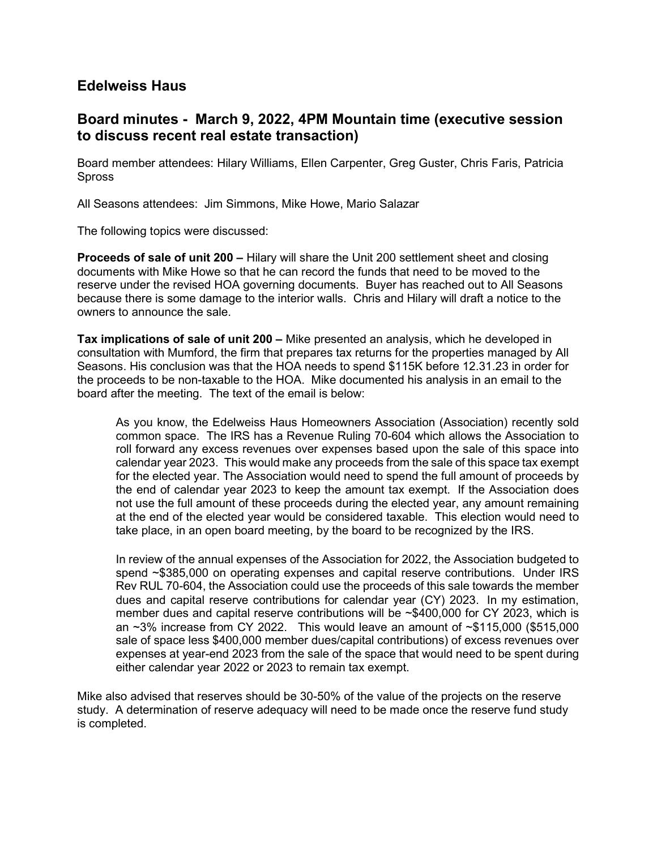## Edelweiss Haus

## Board minutes - March 9, 2022, 4PM Mountain time (executive session to discuss recent real estate transaction)

Board member attendees: Hilary Williams, Ellen Carpenter, Greg Guster, Chris Faris, Patricia Spross

All Seasons attendees: Jim Simmons, Mike Howe, Mario Salazar

The following topics were discussed:

Proceeds of sale of unit 200 – Hilary will share the Unit 200 settlement sheet and closing documents with Mike Howe so that he can record the funds that need to be moved to the reserve under the revised HOA governing documents. Buyer has reached out to All Seasons because there is some damage to the interior walls. Chris and Hilary will draft a notice to the owners to announce the sale.

Tax implications of sale of unit 200 – Mike presented an analysis, which he developed in consultation with Mumford, the firm that prepares tax returns for the properties managed by All Seasons. His conclusion was that the HOA needs to spend \$115K before 12.31.23 in order for the proceeds to be non-taxable to the HOA. Mike documented his analysis in an email to the board after the meeting. The text of the email is below:

As you know, the Edelweiss Haus Homeowners Association (Association) recently sold common space. The IRS has a Revenue Ruling 70-604 which allows the Association to roll forward any excess revenues over expenses based upon the sale of this space into calendar year 2023. This would make any proceeds from the sale of this space tax exempt for the elected year. The Association would need to spend the full amount of proceeds by the end of calendar year 2023 to keep the amount tax exempt. If the Association does not use the full amount of these proceeds during the elected year, any amount remaining at the end of the elected year would be considered taxable. This election would need to take place, in an open board meeting, by the board to be recognized by the IRS.

In review of the annual expenses of the Association for 2022, the Association budgeted to spend ~\$385,000 on operating expenses and capital reserve contributions. Under IRS Rev RUL 70-604, the Association could use the proceeds of this sale towards the member dues and capital reserve contributions for calendar year (CY) 2023. In my estimation, member dues and capital reserve contributions will be ~\$400,000 for CY 2023, which is an  $\sim$ 3% increase from CY 2022. This would leave an amount of  $\sim$ \$115,000 (\$515,000 sale of space less \$400,000 member dues/capital contributions) of excess revenues over expenses at year-end 2023 from the sale of the space that would need to be spent during either calendar year 2022 or 2023 to remain tax exempt.

Mike also advised that reserves should be 30-50% of the value of the projects on the reserve study. A determination of reserve adequacy will need to be made once the reserve fund study is completed.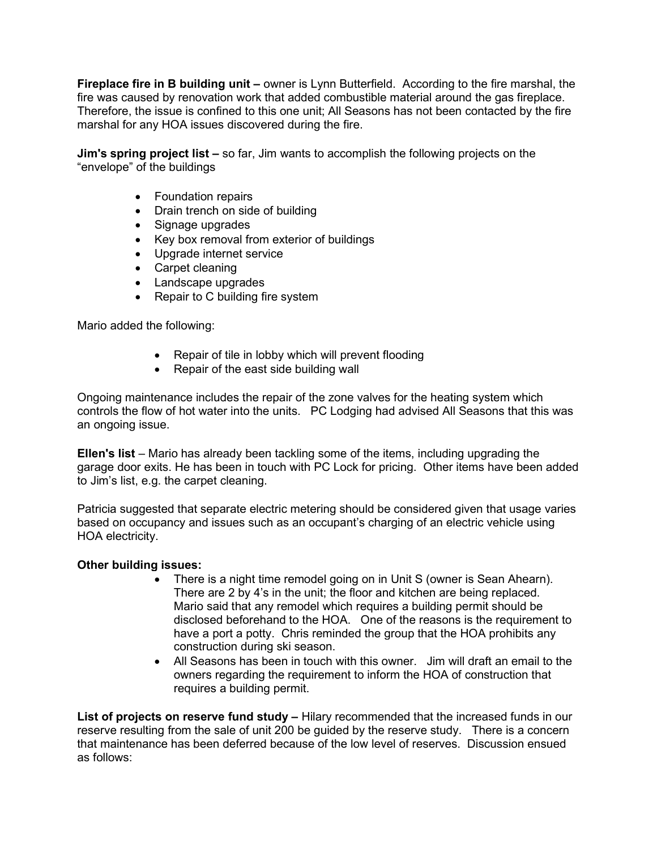Fireplace fire in B building unit - owner is Lynn Butterfield. According to the fire marshal, the fire was caused by renovation work that added combustible material around the gas fireplace. Therefore, the issue is confined to this one unit; All Seasons has not been contacted by the fire marshal for any HOA issues discovered during the fire.

Jim's spring project list – so far, Jim wants to accomplish the following projects on the "envelope" of the buildings

- Foundation repairs
- Drain trench on side of building
- Signage upgrades
- Key box removal from exterior of buildings
- Upgrade internet service
- Carpet cleaning
- Landscape upgrades
- Repair to C building fire system

Mario added the following:

- Repair of tile in lobby which will prevent flooding
- Repair of the east side building wall

Ongoing maintenance includes the repair of the zone valves for the heating system which controls the flow of hot water into the units. PC Lodging had advised All Seasons that this was an ongoing issue.

Ellen's list – Mario has already been tackling some of the items, including upgrading the garage door exits. He has been in touch with PC Lock for pricing. Other items have been added to Jim's list, e.g. the carpet cleaning.

Patricia suggested that separate electric metering should be considered given that usage varies based on occupancy and issues such as an occupant's charging of an electric vehicle using HOA electricity.

## Other building issues:

- There is a night time remodel going on in Unit S (owner is Sean Ahearn). There are 2 by 4's in the unit; the floor and kitchen are being replaced. Mario said that any remodel which requires a building permit should be disclosed beforehand to the HOA. One of the reasons is the requirement to have a port a potty. Chris reminded the group that the HOA prohibits any construction during ski season.
- All Seasons has been in touch with this owner. Jim will draft an email to the owners regarding the requirement to inform the HOA of construction that requires a building permit.

List of projects on reserve fund study - Hilary recommended that the increased funds in our reserve resulting from the sale of unit 200 be guided by the reserve study. There is a concern that maintenance has been deferred because of the low level of reserves. Discussion ensued as follows: